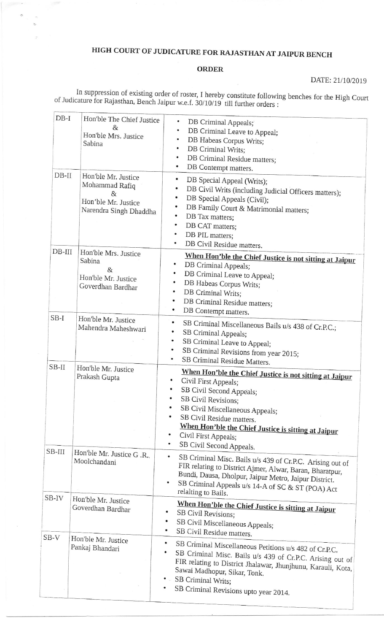## HIGH COURT OF JUDICATURE FOR RAJASTHAN AT JAIPUR BENCH

## **ORDER**

DATE: 21/10/2019

In suppression of existing order of roster, I hereby constitute following benches for the High Court of Judicature for Rajasthan, Bench Jaipur w.e.f. 30/10/19 till further orders :

| $DB-I$<br>$DB-II$ | Hon'ble The Chief Justice<br>$\mathcal{R}_{I}$<br>Hon'ble Mrs. Justice<br>Sabina<br>Hon'ble Mr. Justice<br>Mohammad Rafiq<br>&<br>Hon'ble Mr. Justice<br>Narendra Singh Dhaddha | DB Criminal Appeals;<br>DB Criminal Leave to Appeal;<br>DB Habeas Corpus Writs;<br>٠<br>DB Criminal Writs;<br>DB Criminal Residue matters;<br>DB Contempt matters.<br>٠<br>٠<br>DB Special Appeal (Writs);<br>DB Civil Writs (including Judicial Officers matters);<br>DB Special Appeals (Civil);<br>٠<br>DB Family Court & Matrimonial matters;<br>DB Tax matters;<br>۰<br>DB CAT matters; |
|-------------------|---------------------------------------------------------------------------------------------------------------------------------------------------------------------------------|----------------------------------------------------------------------------------------------------------------------------------------------------------------------------------------------------------------------------------------------------------------------------------------------------------------------------------------------------------------------------------------------|
| $DB-III$          | Hon'ble Mrs. Justice<br>Sabina<br>$\&$<br>Hon'ble Mr. Justice                                                                                                                   | DB PIL matters;<br>DB Civil Residue matters.<br>When Hon'ble the Chief Justice is not sitting at Jaipur<br>DB Criminal Appeals;<br>DB Criminal Leave to Appeal;                                                                                                                                                                                                                              |
| $SB-I$            | Goverdhan Bardhar                                                                                                                                                               | ۰<br>DB Habeas Corpus Writs;<br>DB Criminal Writs;<br>DB Criminal Residue matters;<br>$\bullet$<br>$\bullet$<br>DB Contempt matters.                                                                                                                                                                                                                                                         |
|                   | Hon'ble Mr. Justice<br>Mahendra Maheshwari                                                                                                                                      | ٠<br>SB Criminal Miscellaneous Bails u/s 438 of Cr.P.C.;<br>$\bullet$<br>SB Criminal Appeals;<br>SB Criminal Leave to Appeal;<br>٠<br>SB Criminal Revisions from year 2015;<br>SB Criminal Residue Matters.                                                                                                                                                                                  |
| $SB-II$           | Hon'ble Mr. Justice<br>Prakash Gupta                                                                                                                                            | When Hon'ble the Chief Justice is not sitting at Jaipur<br>Civil First Appeals;<br>٠<br>SB Civil Second Appeals;<br>SB Civil Revisions;<br>۰<br>SB Civil Miscellaneous Appeals;<br>SB Civil Residue matters.<br>When Hon'ble the Chief Justice is sitting at Jaipur<br>Civil First Appeals;<br>$\bullet$<br>SB Civil Second Appeals.                                                         |
| SB-III            | Hon'ble Mr. Justice G .R.<br>Moolchandani                                                                                                                                       | ٠<br>SB Criminal Misc. Bails u/s 439 of Cr.P.C. Arising out of<br>FIR relating to District Ajmer, Alwar, Baran, Bharatpur,<br>Bundi, Dausa, Dholpur, Jaipur Metro, Jaipur District.<br>SB Criminal Appeals u/s 14-A of SC & ST (POA) Act<br>$\bullet$<br>relalting to Bails.                                                                                                                 |
| SB-IV             | Hon'ble Mr. Justice<br>Goverdhan Bardhar                                                                                                                                        | When Hon'ble the Chief Justice is sitting at Jaipur<br>SB Civil Revisions;<br>SB Civil Miscellaneous Appeals;<br>SB Civil Residue matters.                                                                                                                                                                                                                                                   |
| $SB-V$            | Hon'ble Mr. Justice<br>Pankaj Bhandari                                                                                                                                          | $\bullet$<br>SB Criminal Miscellaneous Petitions u/s 482 of Cr.P.C.<br>SB Criminal Misc. Bails u/s 439 of Cr.P.C. Arising out of<br>FIR relating to District Jhalawar, Jhunjhunu, Karauli, Kota,<br>Sawai Madhopur, Sikar, Tonk.<br>SB Criminal Writs;<br>SB Criminal Revisions upto year 2014.                                                                                              |